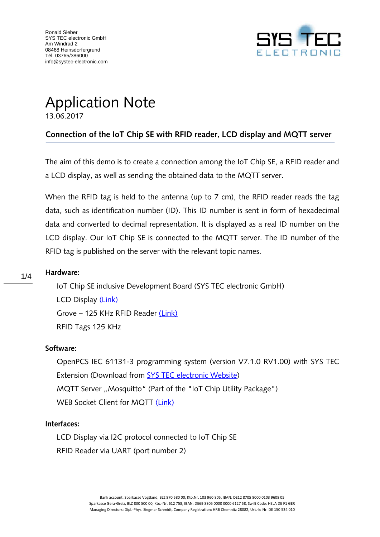

# Application Note 13.06.2017

# **Connection of the IoT Chip SE with RFID reader, LCD display and MQTT server**

The aim of this demo is to create a connection among the IoT Chip SE, a RFID reader and a LCD display, as well as sending the obtained data to the MQTT server.

When the RFID tag is held to the antenna (up to 7 cm), the RFID reader reads the tag data, such as identification number (ID). This ID number is sent in form of hexadecimal data and converted to decimal representation. It is displayed as a real ID number on the LCD display. Our IoT Chip SE is connected to the MQTT server. The ID number of the RFID tag is published on the server with the relevant topic names.

## **Hardware:** 1/4

IoT Chip SE inclusive Development Board (SYS TEC electronic GmbH) LCD Display [\(Link\)](https://www.conrad.de/de/raspberry-pi-erweiterungs-platine-sbc-lcd20x4-raspberry-pi-raspberry-pi-2-b-raspberry-pi-3-b-raspberry-pi-a-r-1503752.html) Grove – 125 KHz RFID Reader [\(Link\)](https://www.seeedstudio.com/Grove-125KHz-RFID-Reader-p-1008.html) RFID Tags 125 KHz

#### **Software:**

OpenPCS IEC 61131-3 programming system (version V7.1.0 RV1.00) with SYS TEC Extension (Download from [SYS TEC electronic Website\)](http://www.systec-electronic.com/en/products/system-on-modules/core-modules/iot-chip-se) MQTT Server "Mosquitto" (Part of the "IoT Chip Utility Package") WEB Socket Client for MQTT [\(Link\)](http://www.hivemq.com/demos/websocket-client/)

#### **Interfaces:**

LCD Display via I2C protocol connected to IoT Chip SE RFID Reader via UART (port number 2)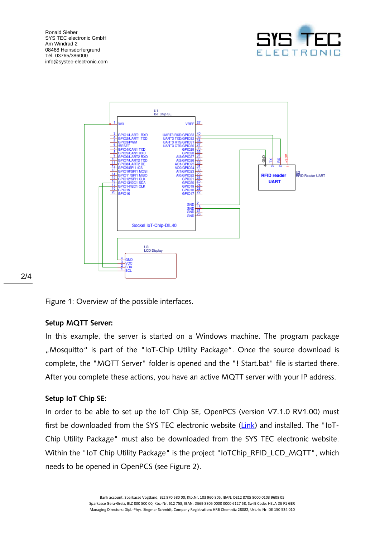Ronald Sieber SYS TEC electronic GmbH Am Windrad 2 08468 Heinsdorfergrund Tel. 03765/386000 info@systec-electronic.com





Figure 1: Overview of the possible interfaces.

## **Setup MQTT Server:**

In this example, the server is started on a Windows machine. The program package ", Mosquitto" is part of the "IoT-Chip Utility Package". Once the source download is complete, the "MQTT Server" folder is opened and the "! Start.bat" file is started there. After you complete these actions, you have an active MQTT server with your IP address.

## **Setup IoT Chip SE:**

In order to be able to set up the IoT Chip SE, OpenPCS (version V7.1.0 RV1.00) must first be downloaded from the SYS TEC electronic website ([Link](http://www.systec-electronic.com/uploads/78/f9/78f906b861cbb7fcea2696bd9d052905/PS710e.zip)) and installed. The "IoT-Chip Utility Package" must also be downloaded from the SYS TEC electronic website. Within the "IoT Chip Utility Package" is the project "IoTChip\_RFID\_LCD\_MQTT", which needs to be opened in OpenPCS (see Figure 2).

#### 2/4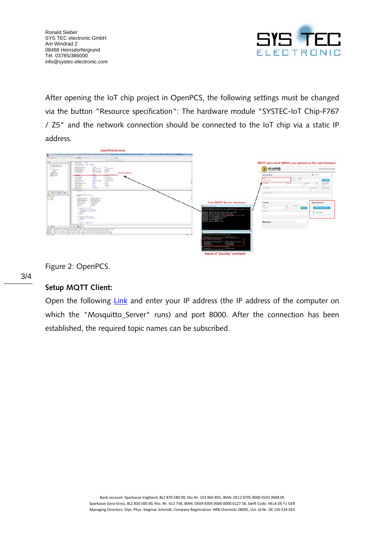

After opening the IoT chip project in OpenPCS, the following settings must be changed via the button "Resource specification": The hardware module "SYSTEC-IoT Chip-F767 / Z5" and the network connection should be connected to the IoT chip via a static IP address.



Figure 2: OpenPCS.

## **Setup MQTT Client:**

Open the following [Link](http://www.hivemq.com/demos/websocket-client/) and enter your IP address (the IP address of the computer on which the "Mosquitto\_Server" runs) and port 8000. After the connection has been established, the required topic names can be subscribed.